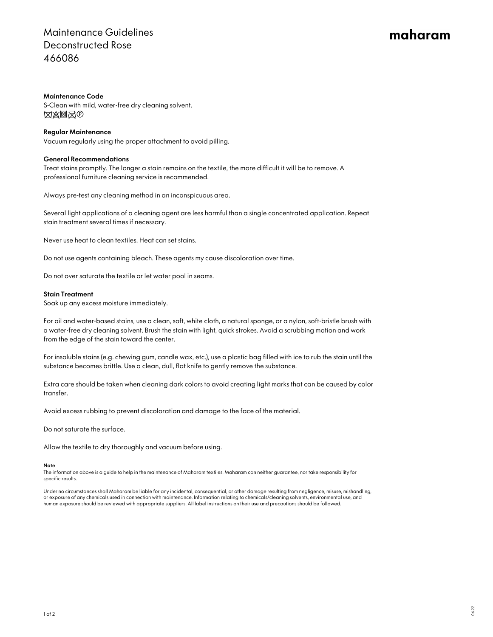## Maintenance Guidelines Deconstructed Rose 466086

# maharam

#### Maintenance Code

S-Clean with mild, water-free dry cleaning solvent. **XXXX**O

#### Regular Maintenance

Vacuum regularly using the proper attachment to avoid pilling.

#### General Recommendations

Treat stains promptly. The longer a stain remains on the textile, the more difficult it will be to remove. A professional furniture cleaning service is recommended.

Always pre-test any cleaning method in an inconspicuous area.

Several light applications of a cleaning agent are less harmful than a single concentrated application. Repeat stain treatment several times if necessary.

Never use heat to clean textiles. Heat can set stains.

Do not use agents containing bleach. These agents my cause discoloration over time.

Do not over saturate the textile or let water pool in seams.

#### Stain Treatment

Soak up any excess moisture immediately.

For oil and water-based stains, use a clean, soft, white cloth, a natural sponge, or a nylon, soft-bristle brush with a water-free dry cleaning solvent. Brush the stain with light, quick strokes. Avoid a scrubbing motion and work from the edge of the stain toward the center.

For insoluble stains (e.g. chewing gum, candle wax, etc.), use a plastic bag filled with ice to rub the stain until the substance becomes brittle. Use a clean, dull, flat knife to gently remove the substance.

Extra care should be taken when cleaning dark colors to avoid creating light marks that can be caused by color transfer.

Avoid excess rubbing to prevent discoloration and damage to the face of the material.

Do not saturate the surface.

Allow the textile to dry thoroughly and vacuum before using.

#### Note

The information above is a guide to help in the maintenance of Maharam textiles. Maharam can neither guarantee, nor take responsibility for specific results.

Under no circumstances shall Maharam be liable for any incidental, consequential, or other damage resulting from negligence, misuse, mishandling, or exposure of any chemicals used in connection with maintenance. Information relating to chemicals/cleaning solvents, environmental use, and human exposure should be reviewed with appropriate suppliers. All label instructions on their use and precautions should be followed.